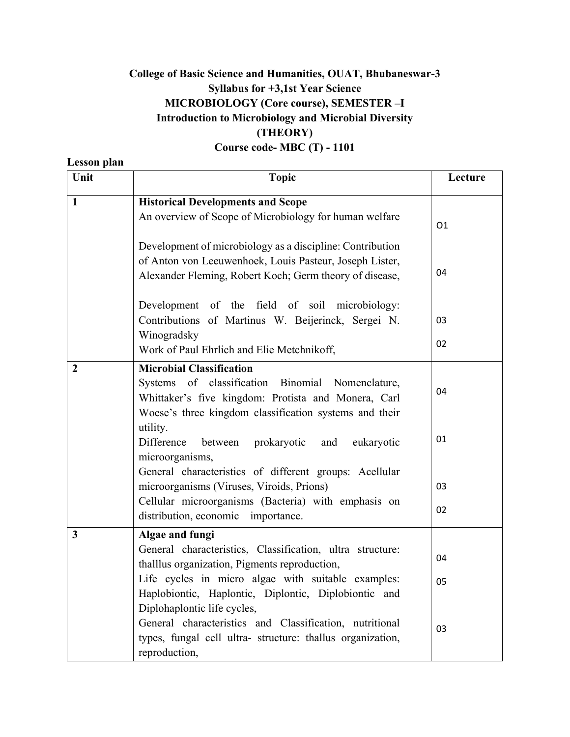### **College of Basic Science and Humanities, OUAT, Bhubaneswar-3 Syllabus for +3,1st Year Science MICROBIOLOGY (Core course), SEMESTER –I Introduction to Microbiology and Microbial Diversity (THEORY)**

#### **Course code- MBC (T) - 1101**

**Lesson plan** 

#### Unit Recture **Lecture Lecture Lecture 1 Historical Developments and Scope**  An overview of Scope of Microbiology for human welfare Development of microbiology as a discipline: Contribution of Anton von Leeuwenhoek, Louis Pasteur, Joseph Lister, Alexander Fleming, Robert Koch; Germ theory of disease, Development of the field of soil microbiology: Contributions of Martinus W. Beijerinck, Sergei N. Winogradsky Work of Paul Ehrlich and Elie Metchnikoff, O1 04 03 02 **2 Microbial Classification**  Systems of classification Binomial Nomenclature, Whittaker's five kingdom: Protista and Monera, Carl Woese's three kingdom classification systems and their utility. Difference between prokaryotic and eukaryotic microorganisms, General characteristics of different groups: Acellular microorganisms (Viruses, Viroids, Prions) Cellular microorganisms (Bacteria) with emphasis on distribution, economic importance. 04 01 03 02 **3 Algae and fungi**  General characteristics, Classification, ultra structure: thalllus organization, Pigments reproduction, Life cycles in micro algae with suitable examples: Haplobiontic, Haplontic, Diplontic, Diplobiontic and Diplohaplontic life cycles, General characteristics and Classification, nutritional types, fungal cell ultra- structure: thallus organization, reproduction, 04 05 03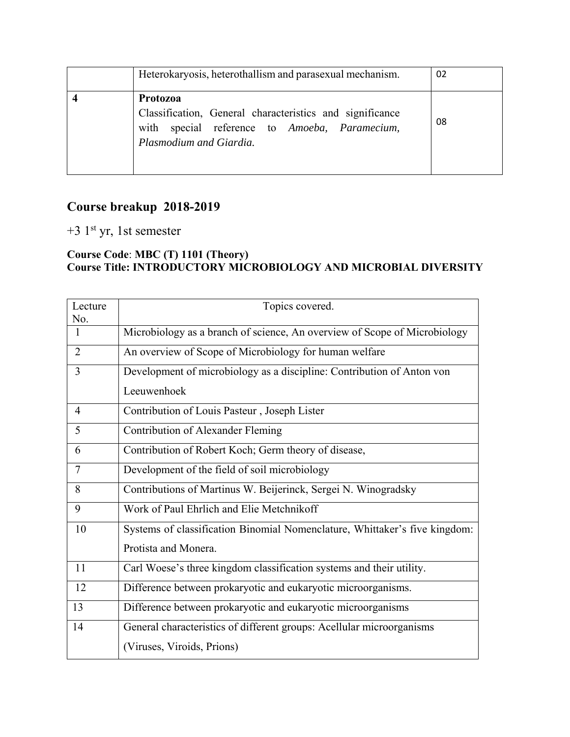| Heterokaryosis, heterothallism and parasexual mechanism.                                                                                                | 02 |
|---------------------------------------------------------------------------------------------------------------------------------------------------------|----|
| <b>Protozoa</b><br>Classification, General characteristics and significance<br>with special reference to Amoeba, Paramecium,<br>Plasmodium and Giardia. | 08 |

## **Course breakup 2018-2019**

## +3 1st yr, 1st semester

#### **Course Code**: **MBC (T) 1101 (Theory) Course Title: INTRODUCTORY MICROBIOLOGY AND MICROBIAL DIVERSITY**

| Lecture        | Topics covered.                                                            |
|----------------|----------------------------------------------------------------------------|
| No.            |                                                                            |
| 1              | Microbiology as a branch of science, An overview of Scope of Microbiology  |
| $\overline{2}$ | An overview of Scope of Microbiology for human welfare                     |
| 3              | Development of microbiology as a discipline: Contribution of Anton von     |
|                | Leeuwenhoek                                                                |
| 4              | Contribution of Louis Pasteur, Joseph Lister                               |
| 5              | <b>Contribution of Alexander Fleming</b>                                   |
| 6              | Contribution of Robert Koch; Germ theory of disease,                       |
| 7              | Development of the field of soil microbiology                              |
| 8              | Contributions of Martinus W. Beijerinck, Sergei N. Winogradsky             |
| 9              | Work of Paul Ehrlich and Elie Metchnikoff                                  |
| 10             | Systems of classification Binomial Nomenclature, Whittaker's five kingdom: |
|                | Protista and Monera.                                                       |
| 11             | Carl Woese's three kingdom classification systems and their utility.       |
| 12             | Difference between prokaryotic and eukaryotic microorganisms.              |
| 13             | Difference between prokaryotic and eukaryotic microorganisms               |
| 14             | General characteristics of different groups: Acellular microorganisms      |
|                | (Viruses, Viroids, Prions)                                                 |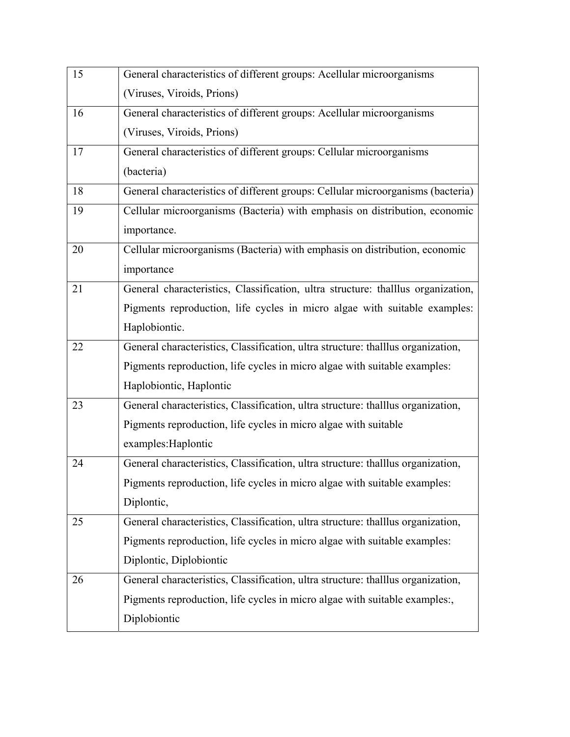| 15 | General characteristics of different groups: Acellular microorganisms            |
|----|----------------------------------------------------------------------------------|
|    | (Viruses, Viroids, Prions)                                                       |
| 16 | General characteristics of different groups: Acellular microorganisms            |
|    | (Viruses, Viroids, Prions)                                                       |
| 17 | General characteristics of different groups: Cellular microorganisms             |
|    | (bacteria)                                                                       |
| 18 | General characteristics of different groups: Cellular microorganisms (bacteria)  |
| 19 | Cellular microorganisms (Bacteria) with emphasis on distribution, economic       |
|    | importance.                                                                      |
| 20 | Cellular microorganisms (Bacteria) with emphasis on distribution, economic       |
|    | importance                                                                       |
| 21 | General characteristics, Classification, ultra structure: thalllus organization, |
|    | Pigments reproduction, life cycles in micro algae with suitable examples:        |
|    | Haplobiontic.                                                                    |
| 22 | General characteristics, Classification, ultra structure: thalllus organization, |
|    | Pigments reproduction, life cycles in micro algae with suitable examples:        |
|    | Haplobiontic, Haplontic                                                          |
| 23 | General characteristics, Classification, ultra structure: thalllus organization, |
|    | Pigments reproduction, life cycles in micro algae with suitable                  |
|    | examples: Haplontic                                                              |
| 24 | General characteristics, Classification, ultra structure: thalllus organization, |
|    | Pigments reproduction, life cycles in micro algae with suitable examples:        |
|    | Diplontic,                                                                       |
| 25 | General characteristics, Classification, ultra structure: thalllus organization, |
|    | Pigments reproduction, life cycles in micro algae with suitable examples:        |
|    | Diplontic, Diplobiontic                                                          |
| 26 | General characteristics, Classification, ultra structure: thalllus organization, |
|    | Pigments reproduction, life cycles in micro algae with suitable examples:,       |
|    | Diplobiontic                                                                     |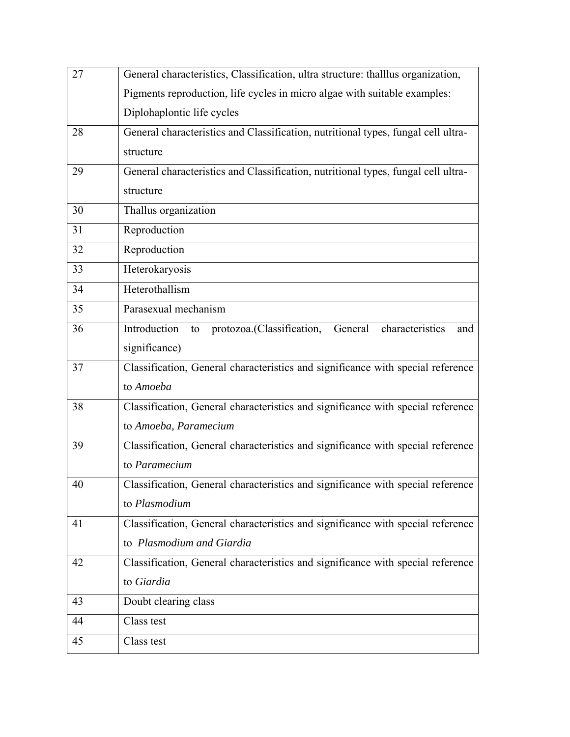| 27 | General characteristics, Classification, ultra structure: thalllus organization,  |
|----|-----------------------------------------------------------------------------------|
|    | Pigments reproduction, life cycles in micro algae with suitable examples:         |
|    | Diplohaplontic life cycles                                                        |
| 28 | General characteristics and Classification, nutritional types, fungal cell ultra- |
|    | structure                                                                         |
| 29 | General characteristics and Classification, nutritional types, fungal cell ultra- |
|    | structure                                                                         |
| 30 | Thallus organization                                                              |
| 31 | Reproduction                                                                      |
| 32 | Reproduction                                                                      |
| 33 | Heterokaryosis                                                                    |
| 34 | Heterothallism                                                                    |
| 35 | Parasexual mechanism                                                              |
| 36 | Introduction to protozoa.(Classification,<br>General<br>characteristics<br>and    |
|    | significance)                                                                     |
| 37 | Classification, General characteristics and significance with special reference   |
|    | to Amoeba                                                                         |
| 38 | Classification, General characteristics and significance with special reference   |
|    | to Amoeba, Paramecium                                                             |
| 39 | Classification, General characteristics and significance with special reference   |
|    | to Paramecium                                                                     |
| 40 | Classification, General characteristics and significance with special reference   |
|    | to Plasmodium                                                                     |
| 41 | Classification, General characteristics and significance with special reference   |
|    | to Plasmodium and Giardia                                                         |
| 42 | Classification, General characteristics and significance with special reference   |
|    | to Giardia                                                                        |
| 43 | Doubt clearing class                                                              |
| 44 | Class test                                                                        |
| 45 | Class test                                                                        |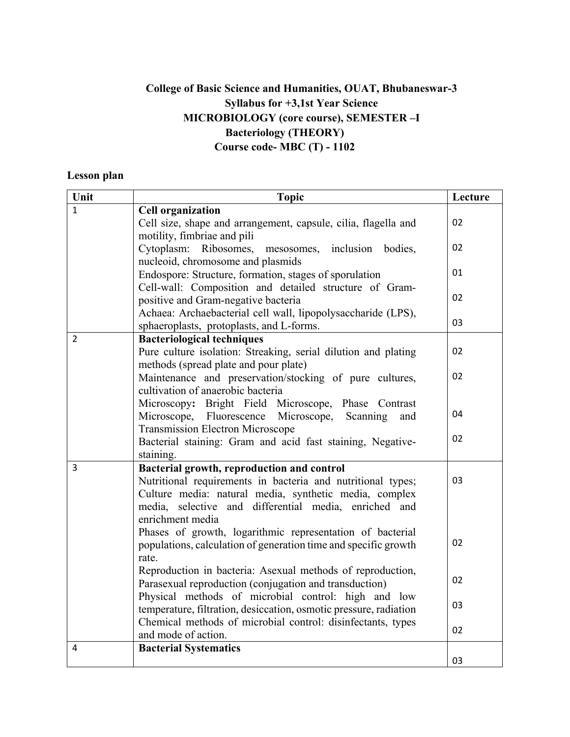## **College of Basic Science and Humanities, OUAT, Bhubaneswar-3 Syllabus for +3,1st Year Science MICROBIOLOGY (core course), SEMESTER –I Bacteriology (THEORY) Course code- MBC (T) - 1102**

#### **Lesson plan**

| Unit           | <b>Topic</b>                                                                                                                                                                                       |    |
|----------------|----------------------------------------------------------------------------------------------------------------------------------------------------------------------------------------------------|----|
| $\mathbf{1}$   | <b>Cell organization</b>                                                                                                                                                                           |    |
|                | Cell size, shape and arrangement, capsule, cilia, flagella and<br>motility, fimbriae and pili                                                                                                      | 02 |
|                | Cytoplasm: Ribosomes, mesosomes, inclusion bodies,<br>nucleoid, chromosome and plasmids                                                                                                            | 02 |
|                | Endospore: Structure, formation, stages of sporulation<br>Cell-wall: Composition and detailed structure of Gram-                                                                                   | 01 |
|                | positive and Gram-negative bacteria                                                                                                                                                                | 02 |
|                | Achaea: Archaebacterial cell wall, lipopolysaccharide (LPS),<br>sphaeroplasts, protoplasts, and L-forms.                                                                                           | 03 |
| $\overline{2}$ | <b>Bacteriological techniques</b>                                                                                                                                                                  |    |
|                | Pure culture isolation: Streaking, serial dilution and plating<br>methods (spread plate and pour plate)                                                                                            | 02 |
|                | Maintenance and preservation/stocking of pure cultures,<br>cultivation of anaerobic bacteria                                                                                                       | 02 |
|                | Microscopy: Bright Field Microscope, Phase Contrast<br>Microscope, Fluorescence<br>Microscope,<br>Scanning<br>and                                                                                  | 04 |
|                | <b>Transmission Electron Microscope</b>                                                                                                                                                            |    |
|                | Bacterial staining: Gram and acid fast staining, Negative-<br>staining.                                                                                                                            | 02 |
| $\overline{3}$ | Bacterial growth, reproduction and control                                                                                                                                                         |    |
|                | Nutritional requirements in bacteria and nutritional types;<br>Culture media: natural media, synthetic media, complex<br>media, selective and differential media, enriched and<br>enrichment media | 03 |
|                | Phases of growth, logarithmic representation of bacterial<br>populations, calculation of generation time and specific growth<br>rate.                                                              | 02 |
|                | Reproduction in bacteria: Asexual methods of reproduction,<br>Parasexual reproduction (conjugation and transduction)                                                                               | 02 |
|                | Physical methods of microbial control: high and low<br>temperature, filtration, desiccation, osmotic pressure, radiation                                                                           | 03 |
|                | Chemical methods of microbial control: disinfectants, types<br>and mode of action.                                                                                                                 | 02 |
| 4              | <b>Bacterial Systematics</b>                                                                                                                                                                       |    |
|                |                                                                                                                                                                                                    | 03 |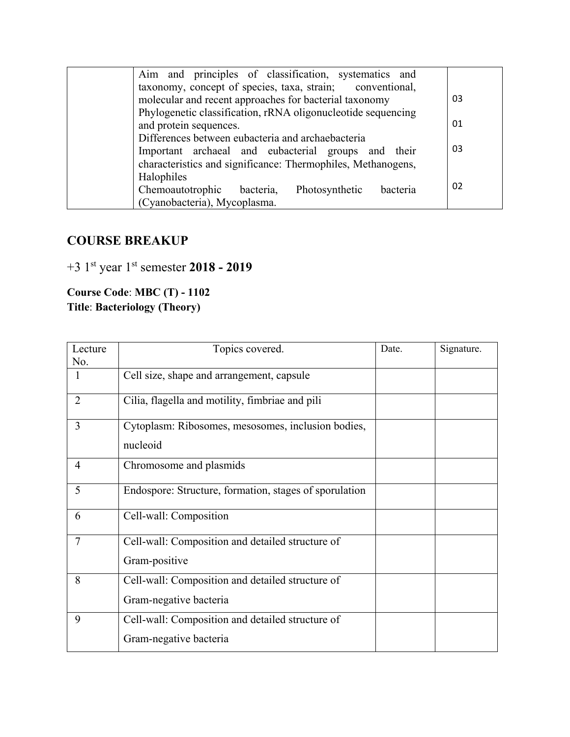| Aim and principles of classification, systematics and        |    |
|--------------------------------------------------------------|----|
| taxonomy, concept of species, taxa, strain; conventional,    |    |
| molecular and recent approaches for bacterial taxonomy       | 03 |
| Phylogenetic classification, rRNA oligonucleotide sequencing |    |
| and protein sequences.                                       | 01 |
| Differences between eubacteria and archaebacteria            |    |
| Important archaeal and eubacterial groups and their          | 03 |
| characteristics and significance: Thermophiles, Methanogens, |    |
| Halophiles                                                   |    |
| Chemoautotrophic<br>bacteria,<br>Photosynthetic<br>bacteria  | 02 |
| (Cyanobacteria), Mycoplasma.                                 |    |

## **COURSE BREAKUP**

# +3 1st year 1st semester **2018 - 2019**

**Course Code**: **MBC (T) - 1102 Title**: **Bacteriology (Theory)**

| Lecture        | Topics covered.                                        | Date. | Signature. |
|----------------|--------------------------------------------------------|-------|------------|
| No.            |                                                        |       |            |
| 1              | Cell size, shape and arrangement, capsule              |       |            |
| $\overline{2}$ | Cilia, flagella and motility, fimbriae and pili        |       |            |
| 3              | Cytoplasm: Ribosomes, mesosomes, inclusion bodies,     |       |            |
|                | nucleoid                                               |       |            |
| 4              | Chromosome and plasmids                                |       |            |
| 5              | Endospore: Structure, formation, stages of sporulation |       |            |
| 6              | Cell-wall: Composition                                 |       |            |
| $\overline{7}$ | Cell-wall: Composition and detailed structure of       |       |            |
|                | Gram-positive                                          |       |            |
| 8              | Cell-wall: Composition and detailed structure of       |       |            |
|                | Gram-negative bacteria                                 |       |            |
| 9              | Cell-wall: Composition and detailed structure of       |       |            |
|                | Gram-negative bacteria                                 |       |            |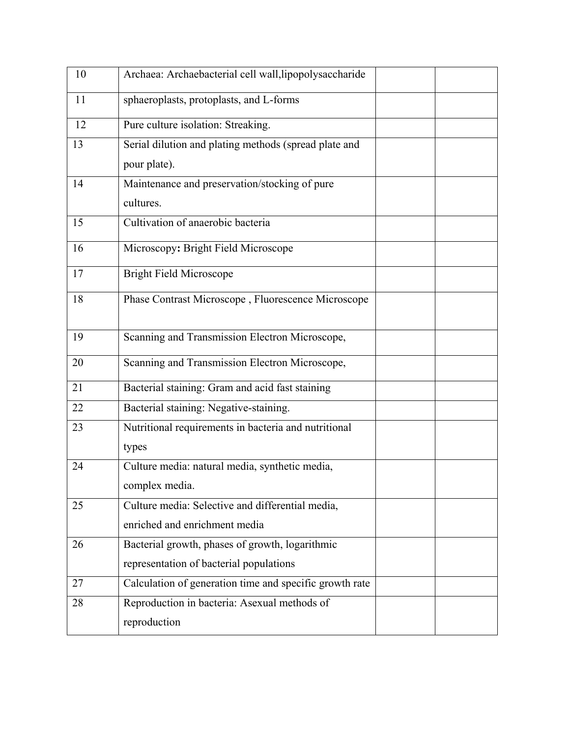| 10 | Archaea: Archaebacterial cell wall, lipopolysaccharide  |  |
|----|---------------------------------------------------------|--|
| 11 | sphaeroplasts, protoplasts, and L-forms                 |  |
| 12 | Pure culture isolation: Streaking.                      |  |
| 13 | Serial dilution and plating methods (spread plate and   |  |
|    | pour plate).                                            |  |
| 14 | Maintenance and preservation/stocking of pure           |  |
|    | cultures.                                               |  |
| 15 | Cultivation of anaerobic bacteria                       |  |
| 16 | Microscopy: Bright Field Microscope                     |  |
| 17 | <b>Bright Field Microscope</b>                          |  |
| 18 | Phase Contrast Microscope, Fluorescence Microscope      |  |
| 19 | Scanning and Transmission Electron Microscope,          |  |
| 20 | Scanning and Transmission Electron Microscope,          |  |
| 21 | Bacterial staining: Gram and acid fast staining         |  |
| 22 | Bacterial staining: Negative-staining.                  |  |
| 23 | Nutritional requirements in bacteria and nutritional    |  |
|    | types                                                   |  |
| 24 | Culture media: natural media, synthetic media,          |  |
|    | complex media.                                          |  |
| 25 | Culture media: Selective and differential media,        |  |
|    | enriched and enrichment media                           |  |
| 26 | Bacterial growth, phases of growth, logarithmic         |  |
|    | representation of bacterial populations                 |  |
| 27 | Calculation of generation time and specific growth rate |  |
| 28 | Reproduction in bacteria: Asexual methods of            |  |
|    | reproduction                                            |  |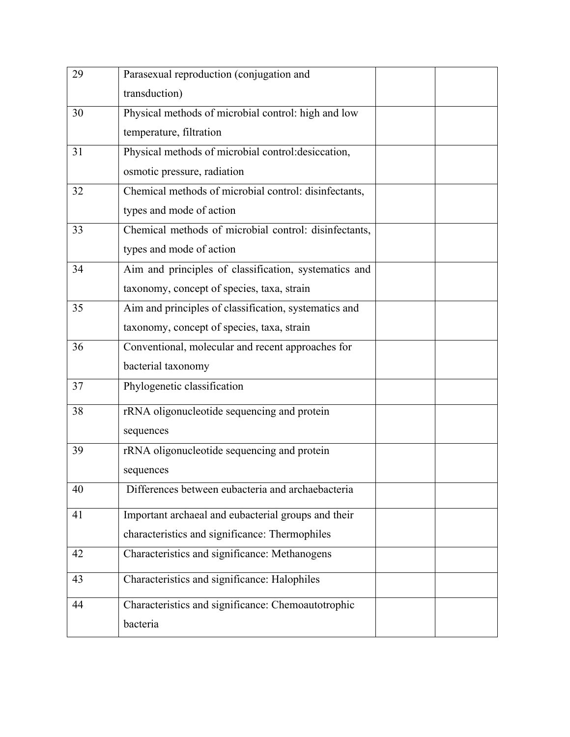| 29 | Parasexual reproduction (conjugation and              |  |
|----|-------------------------------------------------------|--|
|    | transduction)                                         |  |
| 30 | Physical methods of microbial control: high and low   |  |
|    | temperature, filtration                               |  |
| 31 | Physical methods of microbial control: desiccation,   |  |
|    | osmotic pressure, radiation                           |  |
| 32 | Chemical methods of microbial control: disinfectants, |  |
|    | types and mode of action                              |  |
| 33 | Chemical methods of microbial control: disinfectants, |  |
|    | types and mode of action                              |  |
| 34 | Aim and principles of classification, systematics and |  |
|    | taxonomy, concept of species, taxa, strain            |  |
| 35 | Aim and principles of classification, systematics and |  |
|    | taxonomy, concept of species, taxa, strain            |  |
| 36 | Conventional, molecular and recent approaches for     |  |
|    | bacterial taxonomy                                    |  |
| 37 | Phylogenetic classification                           |  |
| 38 | rRNA oligonucleotide sequencing and protein           |  |
|    | sequences                                             |  |
| 39 | rRNA oligonucleotide sequencing and protein           |  |
|    | sequences                                             |  |
| 40 | Differences between eubacteria and archaebacteria     |  |
| 41 | Important archaeal and eubacterial groups and their   |  |
|    | characteristics and significance: Thermophiles        |  |
| 42 | Characteristics and significance: Methanogens         |  |
| 43 | Characteristics and significance: Halophiles          |  |
| 44 | Characteristics and significance: Chemoautotrophic    |  |
|    | bacteria                                              |  |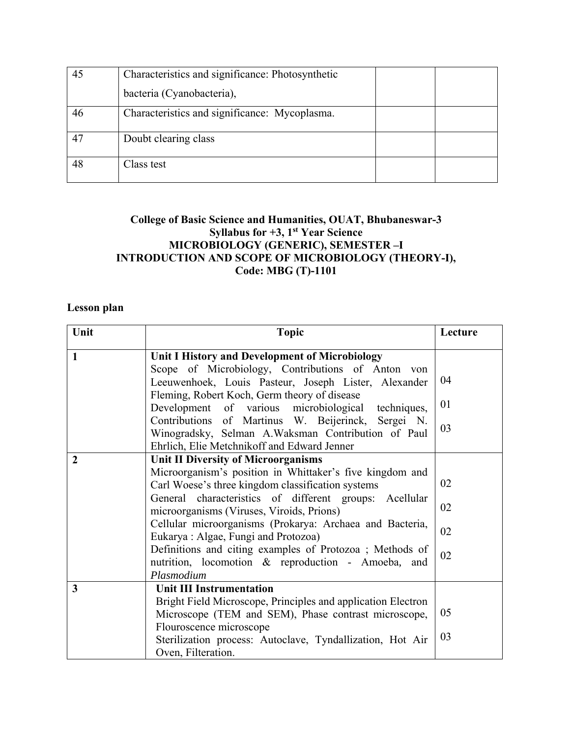|    | Characteristics and significance: Photosynthetic |  |
|----|--------------------------------------------------|--|
|    | bacteria (Cyanobacteria),                        |  |
| 46 | Characteristics and significance: Mycoplasma.    |  |
|    | Doubt clearing class                             |  |
| 48 | Class test                                       |  |

#### **College of Basic Science and Humanities, OUAT, Bhubaneswar-3 Syllabus for +3, 1st Year Science MICROBIOLOGY (GENERIC), SEMESTER –I INTRODUCTION AND SCOPE OF MICROBIOLOGY (THEORY-I), Code: MBG (T)-1101**

#### **Lesson plan**

| Unit           | <b>Topic</b>                                                                                                                                                                                                                                                                                                                                                                                                                                                                                          | Lecture              |
|----------------|-------------------------------------------------------------------------------------------------------------------------------------------------------------------------------------------------------------------------------------------------------------------------------------------------------------------------------------------------------------------------------------------------------------------------------------------------------------------------------------------------------|----------------------|
| $\mathbf{1}$   | Unit I History and Development of Microbiology<br>Scope of Microbiology, Contributions of Anton von<br>Leeuwenhoek, Louis Pasteur, Joseph Lister, Alexander<br>Fleming, Robert Koch, Germ theory of disease<br>Development of various microbiological techniques,                                                                                                                                                                                                                                     | 04<br>01             |
|                | Contributions of Martinus W. Beijerinck, Sergei N.<br>Winogradsky, Selman A.Waksman Contribution of Paul<br>Ehrlich, Elie Metchnikoff and Edward Jenner                                                                                                                                                                                                                                                                                                                                               | 03                   |
| $\overline{2}$ | <b>Unit II Diversity of Microorganisms</b><br>Microorganism's position in Whittaker's five kingdom and<br>Carl Woese's three kingdom classification systems<br>General characteristics of different groups: Acellular<br>microorganisms (Viruses, Viroids, Prions)<br>Cellular microorganisms (Prokarya: Archaea and Bacteria,<br>Eukarya: Algae, Fungi and Protozoa)<br>Definitions and citing examples of Protozoa ; Methods of<br>nutrition, locomotion & reproduction - Amoeba, and<br>Plasmodium | 02<br>02<br>02<br>02 |
| 3              | <b>Unit III Instrumentation</b><br>Bright Field Microscope, Principles and application Electron<br>Microscope (TEM and SEM), Phase contrast microscope,<br>Flouroscence microscope<br>Sterilization process: Autoclave, Tyndallization, Hot Air<br>Oven, Filteration.                                                                                                                                                                                                                                 | 05<br>03             |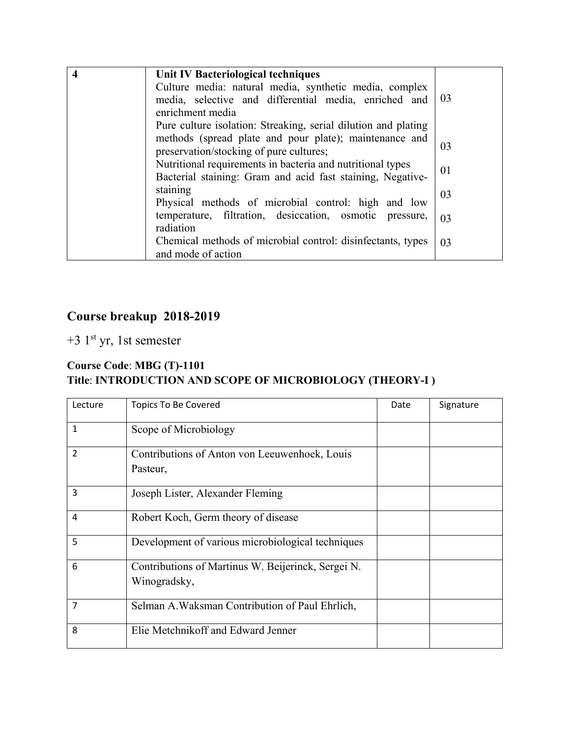| 4 | Unit IV Bacteriological techniques                                                                                       |    |
|---|--------------------------------------------------------------------------------------------------------------------------|----|
|   | Culture media: natural media, synthetic media, complex                                                                   |    |
|   | media, selective and differential media, enriched and                                                                    | 03 |
|   | enrichment media                                                                                                         |    |
|   | Pure culture isolation: Streaking, serial dilution and plating                                                           |    |
|   | methods (spread plate and pour plate); maintenance and<br>preservation/stocking of pure cultures;                        | 03 |
|   | Nutritional requirements in bacteria and nutritional types<br>Bacterial staining: Gram and acid fast staining, Negative- | 01 |
|   | staining<br>Physical methods of microbial control: high and low                                                          | 03 |
|   | temperature, filtration, desiccation, osmotic pressure,<br>radiation                                                     | 03 |
|   | Chemical methods of microbial control: disinfectants, types<br>and mode of action                                        | 03 |

# **Course breakup 2018-2019**

+3  $1<sup>st</sup>$  yr, 1st semester

## **Course Code**: **MBG (T)-1101 Title**: **INTRODUCTION AND SCOPE OF MICROBIOLOGY (THEORY-I )**

| Lecture        | <b>Topics To Be Covered</b>                                        | Date | Signature |
|----------------|--------------------------------------------------------------------|------|-----------|
| 1              | Scope of Microbiology                                              |      |           |
| $\overline{2}$ | Contributions of Anton von Leeuwenhoek, Louis<br>Pasteur,          |      |           |
| 3              | Joseph Lister, Alexander Fleming                                   |      |           |
| 4              | Robert Koch, Germ theory of disease                                |      |           |
| 5              | Development of various microbiological techniques                  |      |           |
| 6              | Contributions of Martinus W. Beijerinck, Sergei N.<br>Winogradsky, |      |           |
| $\overline{7}$ | Selman A. Waksman Contribution of Paul Ehrlich,                    |      |           |
| 8              | Elie Metchnikoff and Edward Jenner                                 |      |           |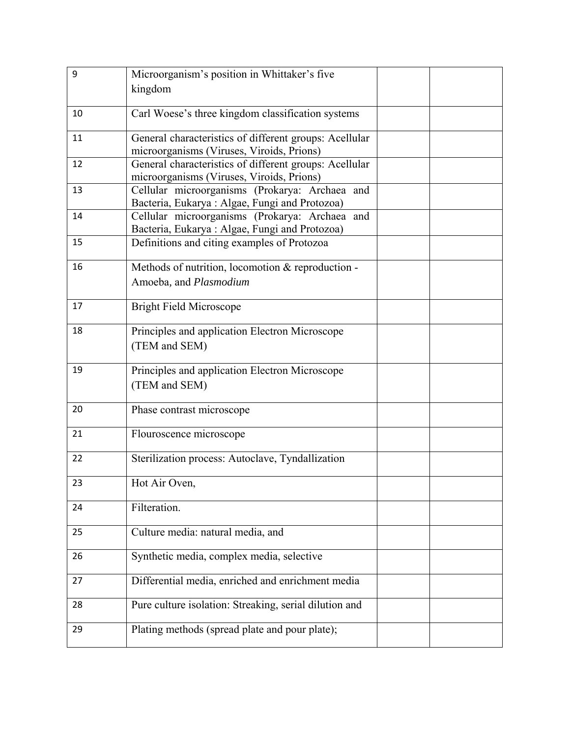| 9  | Microorganism's position in Whittaker's five           |  |
|----|--------------------------------------------------------|--|
|    | kingdom                                                |  |
|    |                                                        |  |
| 10 | Carl Woese's three kingdom classification systems      |  |
| 11 | General characteristics of different groups: Acellular |  |
|    | microorganisms (Viruses, Viroids, Prions)              |  |
| 12 | General characteristics of different groups: Acellular |  |
|    | microorganisms (Viruses, Viroids, Prions)              |  |
| 13 | Cellular microorganisms (Prokarya: Archaea and         |  |
|    | Bacteria, Eukarya: Algae, Fungi and Protozoa)          |  |
| 14 | Cellular microorganisms (Prokarya: Archaea and         |  |
|    | Bacteria, Eukarya: Algae, Fungi and Protozoa)          |  |
| 15 | Definitions and citing examples of Protozoa            |  |
| 16 | Methods of nutrition, locomotion & reproduction -      |  |
|    | Amoeba, and Plasmodium                                 |  |
|    |                                                        |  |
| 17 | <b>Bright Field Microscope</b>                         |  |
|    |                                                        |  |
| 18 | Principles and application Electron Microscope         |  |
|    | (TEM and SEM)                                          |  |
|    |                                                        |  |
| 19 | Principles and application Electron Microscope         |  |
|    | (TEM and SEM)                                          |  |
|    |                                                        |  |
| 20 | Phase contrast microscope                              |  |
|    |                                                        |  |
| 21 | Flouroscence microscope                                |  |
| 22 | Sterilization process: Autoclave, Tyndallization       |  |
|    |                                                        |  |
| 23 | Hot Air Oven,                                          |  |
|    |                                                        |  |
| 24 | Filteration.                                           |  |
|    |                                                        |  |
| 25 | Culture media: natural media, and                      |  |
|    |                                                        |  |
| 26 | Synthetic media, complex media, selective              |  |
|    |                                                        |  |
| 27 | Differential media, enriched and enrichment media      |  |
| 28 | Pure culture isolation: Streaking, serial dilution and |  |
|    |                                                        |  |
| 29 | Plating methods (spread plate and pour plate);         |  |
|    |                                                        |  |